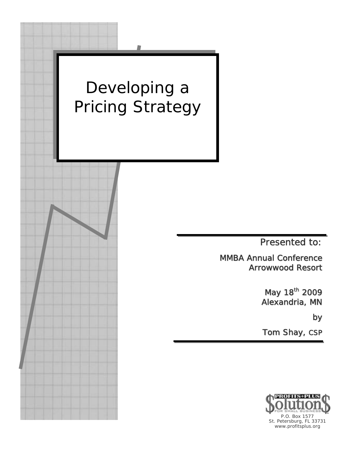

St. Petersburg, FL 33731 www.profitsplus.org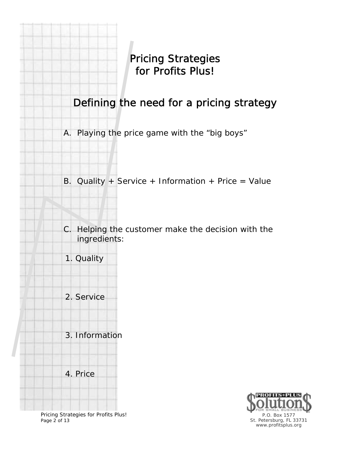Pricing Strategies for Profits Plus!

Defining the need for a pricing strategy

A. Playing the price game with the "big boys"

B. Quality + Service + Information + Price = Value

C. Helping the customer make the decision with the ingredients:

1. Quality

2. Service

3. Information

4. Price

Pricing Strategies for Profits Plus! Page 2 of 13

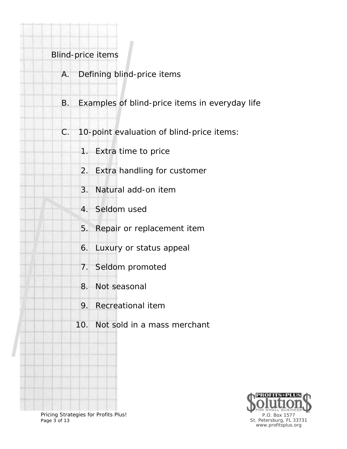#### Blind-price items

- A. Defining blind-price items
- B. Examples of blind-price items in everyday life
- C. 10-point evaluation of blind-price items:
	- 1. Extra time to price
	- 2. Extra handling for customer
	- 3. Natural add-on item
	- 4. Seldom used
	- 5. Repair or replacement item
	- 6. Luxury or status appeal
	- 7. Seldom promoted
	- 8. Not seasonal
	- 9. Recreational item
	- 10. Not sold in a mass merchant



Pricing Strategies for Profits Plus! Page 3 of 13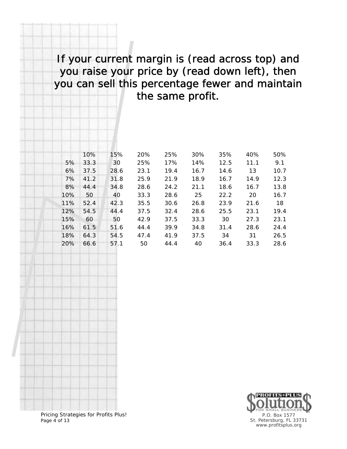## If your current margin is (read across top) and you raise your price by (read down left), then you can sell this percentage fewer and maintain the same profit.

|     | 10%  | 15%  | 20%  | 25%  | 30%  | 35%  | 40%  | 50%  |
|-----|------|------|------|------|------|------|------|------|
| 5%  | 33.3 | 30   | 25%  | 17%  | 14%  | 12.5 | 11.1 | 9.1  |
| 6%  | 37.5 | 28.6 | 23.1 | 19.4 | 16.7 | 14.6 | 13   | 10.7 |
| 7%  | 41.2 | 31.8 | 25.9 | 21.9 | 18.9 | 16.7 | 14.9 | 12.3 |
| 8%  | 44.4 | 34.8 | 28.6 | 24.2 | 21.1 | 18.6 | 16.7 | 13.8 |
| 10% | 50   | 40   | 33.3 | 28.6 | 25   | 22.2 | 20   | 16.7 |
| 11% | 52.4 | 42.3 | 35.5 | 30.6 | 26.8 | 23.9 | 21.6 | 18   |
| 12% | 54.5 | 44.4 | 37.5 | 32.4 | 28.6 | 25.5 | 23.1 | 19.4 |
| 15% | 60   | 50   | 42.9 | 37.5 | 33.3 | 30   | 27.3 | 23.1 |
| 16% | 61.5 | 51.6 | 44.4 | 39.9 | 34.8 | 31.4 | 28.6 | 24.4 |
| 18% | 64.3 | 54.5 | 47.4 | 41.9 | 37.5 | 34   | 31   | 26.5 |
| 20% | 66.6 | 57.1 | 50   | 44.4 | 40   | 36.4 | 33.3 | 28.6 |



Pricing Strategies for Profits Plus! Page 4 of 13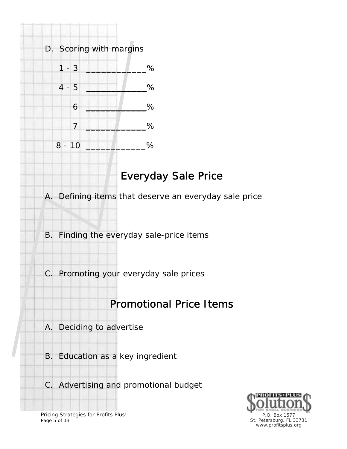

# Everyday Sale Price

A. Defining items that deserve an everyday sale price

B. Finding the everyday sale-price items

C. Promoting your everyday sale prices

## Promotional Price Items

- A. Deciding to advertise
- B. Education as a key ingredient
- C. Advertising and promotional budget



Pricing Strategies for Profits Plus! Page 5 of 13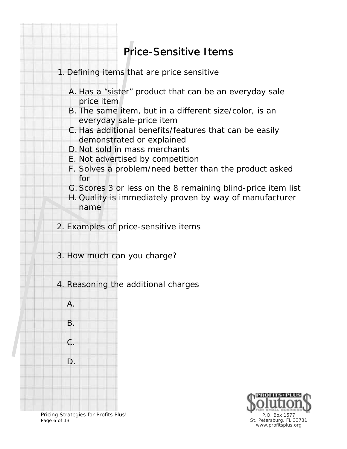# Price-Sensitive Items

- 1. Defining items that are price sensitive
	- A. Has a "sister" product that can be an everyday sale price item
	- B. The same item, but in a different size/color, is an everyday sale-price item
	- C. Has additional benefits/features that can be easily demonstrated or explained
	- D. Not sold in mass merchants
	- E. Not advertised by competition
	- F. Solves a problem/need better than the product asked for
	- G. Scores 3 or less on the 8 remaining blind-price item list
	- H. Quality is immediately proven by way of manufacturer name

2. Examples of price-sensitive items

3. How much can you charge?

4. Reasoning the additional charges





Pricing Strategies for Profits Plus! Page 6 of 13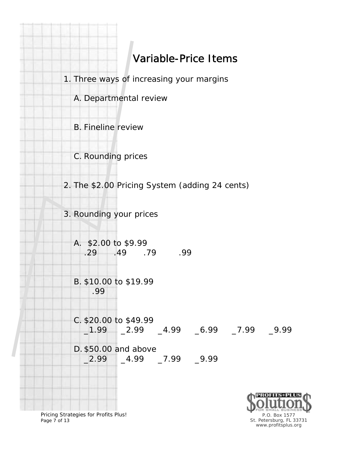

Pricing Strategies for Profits Plus! Page 7 of 13

P.O. Box 1577 St. Petersburg, FL 33731 www.profitsplus.org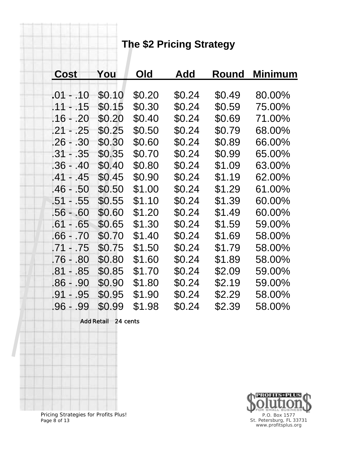# **The \$2 Pricing Strategy**

| <b>Cost</b> | You    | Old    | Add    | Round  | Minimum |
|-------------|--------|--------|--------|--------|---------|
|             |        |        |        |        |         |
| .01 - .10   | \$0.10 | \$0.20 | \$0.24 | \$0.49 | 80.00%  |
| .11 - .15   | \$0.15 | \$0.30 | \$0.24 | \$0.59 | 75.00%  |
| .16 - .20   | \$0.20 | \$0.40 | \$0.24 | \$0.69 | 71.00%  |
| .21 - .25   | \$0.25 | \$0.50 | \$0.24 | \$0.79 | 68.00%  |
| $.26 - .30$ | \$0.30 | \$0.60 | \$0.24 | \$0.89 | 66.00%  |
| .31 - .35   | \$0.35 | \$0.70 | \$0.24 | \$0.99 | 65.00%  |
| .36 - .40   | \$0.40 | \$0.80 | \$0.24 | \$1.09 | 63.00%  |
| $.41 - .45$ | \$0.45 | \$0.90 | \$0.24 | \$1.19 | 62.00%  |
| .46 - .50   | \$0.50 | \$1.00 | \$0.24 | \$1.29 | 61.00%  |
| .51 - .55   | \$0.55 | \$1.10 | \$0.24 | \$1.39 | 60.00%  |
| $.56 - .60$ | \$0.60 | \$1.20 | \$0.24 | \$1.49 | 60.00%  |
| .61 - .65   | \$0.65 | \$1.30 | \$0.24 | \$1.59 | 59.00%  |
| .66 - .70   | \$0.70 | \$1.40 | \$0.24 | \$1.69 | 58.00%  |
| .71 - .75   | \$0.75 | \$1.50 | \$0.24 | \$1.79 | 58.00%  |
| .76 - .80   | \$0.80 | \$1.60 | \$0.24 | \$1.89 | 58.00%  |
| $.81 - .85$ | \$0.85 | \$1.70 | \$0.24 | \$2.09 | 59.00%  |
| .86 - .90   | \$0.90 | \$1.80 | \$0.24 | \$2.19 | 59.00%  |
| $.91 - .95$ | \$0.95 | \$1.90 | \$0.24 | \$2.29 | 58.00%  |
| .96 - .99   | \$0.99 | \$1.98 | \$0.24 | \$2.39 | 58.00%  |

Add Retail 24 cents



Pricing Strategies for Profits Plus! Page 8 of 13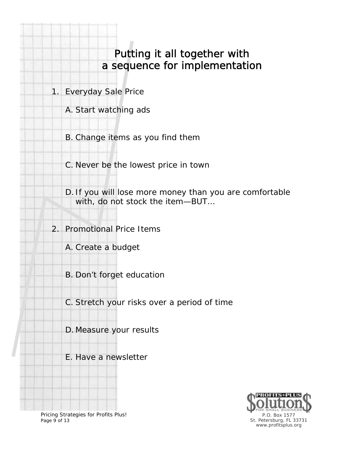#### Putting it all together with a sequence for implementation

1. Everyday Sale Price

A. Start watching ads

B. Change items as you find them

C. Never be the lowest price in town

D. If you will lose more money than you are comfortable with, do not stock the item—BUT…

2. Promotional Price Items

A. Create a budget

B. Don't forget education

C. Stretch your risks over a period of time

D. Measure your results

E. Have a newsletter



Pricing Strategies for Profits Plus! Page 9 of 13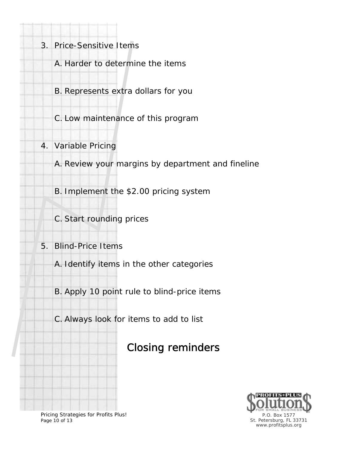- 3. Price-Sensitive Items
	- A. Harder to determine the items
	- B. Represents extra dollars for you
	- C. Low maintenance of this program
- 4. Variable Pricing
	- A. Review your margins by department and fineline
	- B. Implement the \$2.00 pricing system
	- C. Start rounding prices
- 5. Blind-Price Items
	- A. Identify items in the other categories
	- B. Apply 10 point rule to blind-price items
	- C. Always look for items to add to list

# Closing reminders



Pricing Strategies for Profits Plus! Page 10 of 13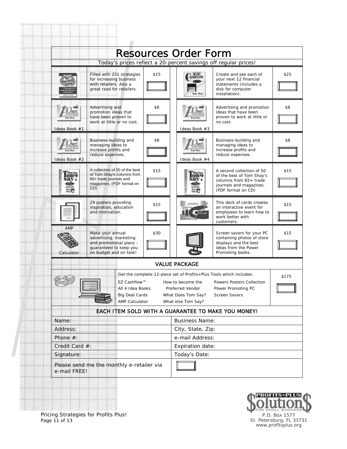|                            |                                                                                                                            |      | <b>Resources Order Form</b>                                                                                                                                                                                                                  |                                                                                                                                   |      |  |  |
|----------------------------|----------------------------------------------------------------------------------------------------------------------------|------|----------------------------------------------------------------------------------------------------------------------------------------------------------------------------------------------------------------------------------------------|-----------------------------------------------------------------------------------------------------------------------------------|------|--|--|
|                            | Today's prices reflect a 20-percent savings off regular prices!                                                            |      |                                                                                                                                                                                                                                              |                                                                                                                                   |      |  |  |
|                            | Filled with 251 strategies<br>for increasing business<br>with retailers. Also a<br>great read for retailers.               | \$15 | ASHFLOW                                                                                                                                                                                                                                      | Create and see each of<br>your next 12 financial<br>statements (includes a<br>disk for computer<br>installation).                 | \$25 |  |  |
| Ideas Book #1              | Advertising and<br>promotion ideas that<br>have been proven to<br>work at little or no cost.                               |      | Ideas Book #3                                                                                                                                                                                                                                | Advertising and promotion<br>ideas that have been<br>proven to work at little or<br>no cost.                                      | \$8  |  |  |
| Ideas Book #2              | Business-building and<br>managing ideas to<br>increase profits and<br>reduce expenses.                                     | \$8  | Ideas Book #4                                                                                                                                                                                                                                | Business-building and<br>managing ideas to<br>increase profits and<br>reduce expenses.                                            | \$8  |  |  |
|                            | A collection of 50 of the best<br>of Tom Shay's columns from<br>65+ trade journals and<br>magazines. (PDF format on<br>CD) | \$15 |                                                                                                                                                                                                                                              | A second collection of 50<br>of the best of Tom Shay's<br>columns from 65+ trade<br>journals and magazines.<br>(PDF format on CD) | \$15 |  |  |
|                            | 29 posters providing<br>inspiration, education<br>and motivation.                                                          | \$15 |                                                                                                                                                                                                                                              | This deck of cards creates<br>an interactive event for<br>employees to learn how to<br>work better with<br>customers.             | \$15 |  |  |
| AMP<br>Calculator          | Make your annual<br>advertising, marketing<br>and promotional plans -<br>quaranteed to keep you<br>on budget and on task!  | \$30 |                                                                                                                                                                                                                                              | Screen savers for your PC<br>containing photos of store<br>displays and the best<br>ideas from the Power<br>Promoting books.      | \$15 |  |  |
|                            |                                                                                                                            |      | <b>VALUE PACKAGE</b>                                                                                                                                                                                                                         |                                                                                                                                   |      |  |  |
|                            | EZ Cashflow™<br>All 4 Idea Books<br><b>Big Deal Cards</b><br><b>AMP Calculator</b>                                         |      | Get the complete 12-piece set of Profits+Plus Tools which includes:<br>\$175<br>How to become the<br>Powers Posters Collection<br>Preferred Vendor<br>Power Promoting PC<br>What Does Tom Say?<br><b>Screen Savors</b><br>What else Tom Say? |                                                                                                                                   |      |  |  |
|                            | EACH ITEM SOLD WITH A GUARANTEE TO MAKE YOU MONEY!                                                                         |      |                                                                                                                                                                                                                                              |                                                                                                                                   |      |  |  |
| Name:                      |                                                                                                                            |      | <b>Business Name:</b>                                                                                                                                                                                                                        |                                                                                                                                   |      |  |  |
| Address:                   |                                                                                                                            |      | City, State, Zip:                                                                                                                                                                                                                            |                                                                                                                                   |      |  |  |
| Phone #:<br>Credit Card #: |                                                                                                                            |      | e-mail Address:                                                                                                                                                                                                                              |                                                                                                                                   |      |  |  |
| Signature:                 |                                                                                                                            |      | Expiration date:<br>Today's Date:                                                                                                                                                                                                            |                                                                                                                                   |      |  |  |
|                            |                                                                                                                            |      |                                                                                                                                                                                                                                              |                                                                                                                                   |      |  |  |
| e-mail FREE!               | Please send me the monthly e-retailer via                                                                                  |      |                                                                                                                                                                                                                                              |                                                                                                                                   |      |  |  |



Pricing Strategies for Profits Plus! Page 11 of 13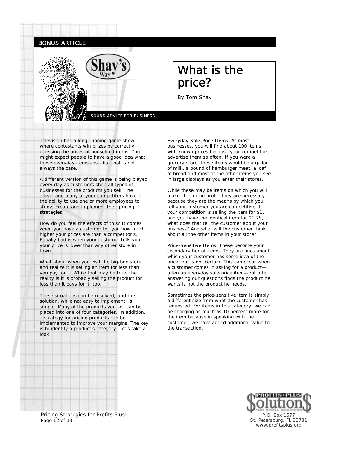



### What is the price?

By Tom Shay

Television has a long-running game show where contestants win prizes by correctly guessing the prices of household items. You might expect people to have a good idea what these everyday items cost, but that is not always the case.

A different version of this game is being played every day as customers shop all types of businesses for the products you sell. The advantage many of your competitors have is the ability to use one or more employees to study, create and implement their pricing strategies.

How do you feel the effects of this? It comes when you have a customer tell you how much higher your prices are than a competitor's. Equally bad is when your customer tells you your price is lower than any other store in town.

What about when you visit the big-box store and realize it is selling an item for less than you pay for it. While that may be true, the reality is it is probably selling the product for less than it pays for it, too.

These situations can be resolved; and the solution, while not easy to implement, is simple. Many of the products you sell can be placed into one of four categories. In addition, a strategy for pricing products can be implemented to improve your margins. The key is to identify a product's category. Let's take a look.

#### Everyday Sale-Price Items. At most

businesses, you will find about 100 items with known prices because your competitors advertise them so often. If you were a grocery store, these items would be a gallon of milk, a pound of hamburger meat, a loaf of bread and most of the other items you see in large displays as you enter their stores.

While these may be items on which you will make little or no profit, they are necessary because they are the means by which you tell your customer you are competitive. If your competition is selling the item for \$1, and you have the identical item for \$1.79, what does that tell the customer about your business? And what will the customer think about all the other items in your store?

Price-Sensitive Items. These become your secondary tier of items. They are ones about which your customer has some idea of the price, but is not certain. This can occur when a customer comes in asking for a product often an everyday sale-price item—but after answering our questions finds the product he wants is not the product he needs.

Sometimes the price-sensitive item is simply a different size from what the customer has requested. For items in this category, we can be charging as much as 10 percent more for the item because in speaking with the customer, we have added additional value to the transaction.



Pricing Strategies for Profits Plus! Page 12 of 13